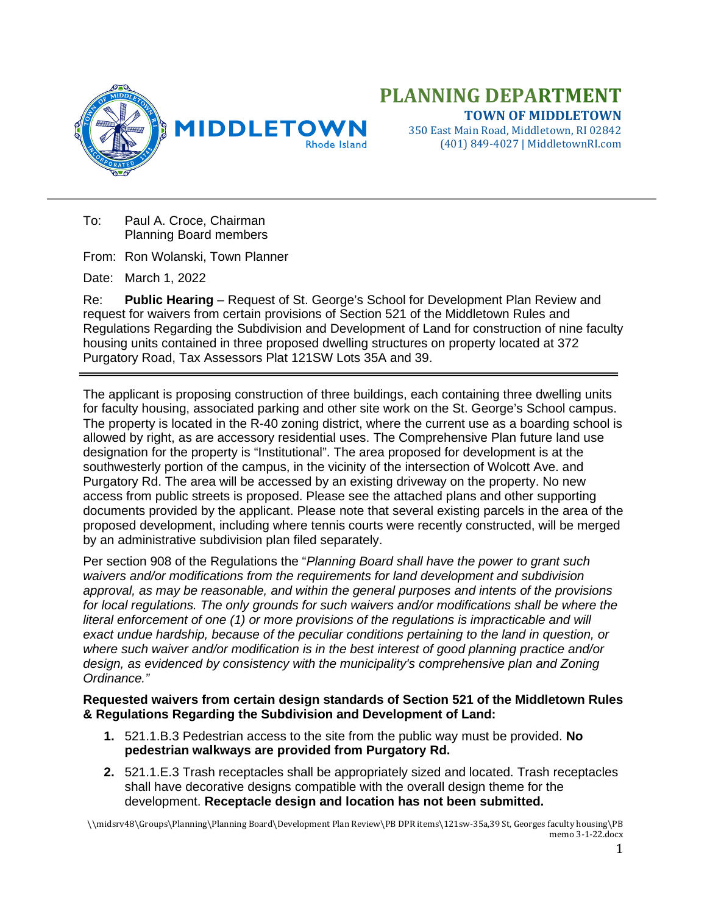

## **PLANNING DEPARTMENT TOWN OF MIDDLETOWN**

350 East Main Road, Middletown, RI 02842 (401) 849-4027 | MiddletownRI.com

To: Paul A. Croce, Chairman Planning Board members

From: Ron Wolanski, Town Planner

Date: March 1, 2022

Re: **Public Hearing** – Request of St. George's School for Development Plan Review and request for waivers from certain provisions of Section 521 of the Middletown Rules and Regulations Regarding the Subdivision and Development of Land for construction of nine faculty housing units contained in three proposed dwelling structures on property located at 372 Purgatory Road, Tax Assessors Plat 121SW Lots 35A and 39.

The applicant is proposing construction of three buildings, each containing three dwelling units for faculty housing, associated parking and other site work on the St. George's School campus. The property is located in the R-40 zoning district, where the current use as a boarding school is allowed by right, as are accessory residential uses. The Comprehensive Plan future land use designation for the property is "Institutional". The area proposed for development is at the southwesterly portion of the campus, in the vicinity of the intersection of Wolcott Ave. and Purgatory Rd. The area will be accessed by an existing driveway on the property. No new access from public streets is proposed. Please see the attached plans and other supporting documents provided by the applicant. Please note that several existing parcels in the area of the proposed development, including where tennis courts were recently constructed, will be merged by an administrative subdivision plan filed separately.

Per section 908 of the Regulations the "*Planning Board shall have the power to grant such waivers and/or modifications from the requirements for land development and subdivision approval, as may be reasonable, and within the general purposes and intents of the provisions for local regulations. The only grounds for such waivers and/or modifications shall be where the literal enforcement of one (1) or more provisions of the regulations is impracticable and will exact undue hardship, because of the peculiar conditions pertaining to the land in question, or where such waiver and/or modification is in the best interest of good planning practice and/or design, as evidenced by consistency with the municipality's comprehensive plan and Zoning Ordinance."*

## **Requested waivers from certain design standards of Section 521 of the Middletown Rules & Regulations Regarding the Subdivision and Development of Land:**

- **1.** 521.1.B.3 Pedestrian access to the site from the public way must be provided. **No pedestrian walkways are provided from Purgatory Rd.**
- **2.** 521.1.E.3 Trash receptacles shall be appropriately sized and located. Trash receptacles shall have decorative designs compatible with the overall design theme for the development. **Receptacle design and location has not been submitted.**

\\midsrv48\Groups\Planning\Planning Board\Development Plan Review\PB DPR items\121sw-35a,39 St, Georges faculty housing\PB memo 3-1-22.docx